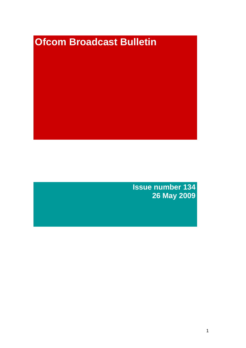# **Ofcom Broadcast Bulletin**

**Issue number 134 26 May 2009**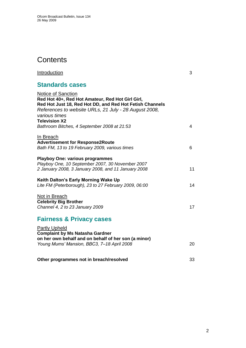# **Contents**

| Introduction |  |
|--------------|--|
|              |  |

## **Standards cases**

| <b>Notice of Sanction</b>                                |    |
|----------------------------------------------------------|----|
| Red Hot 40+, Red Hot Amateur, Red Hot Girl Girl,         |    |
| Red Hot Just 18, Red Hot DD, and Red Hot Fetish Channels |    |
| References to website URLs, 21 July - 28 August 2008,    |    |
| various times                                            |    |
| <b>Television X2</b>                                     |    |
| Bathroom Bitches, 4 September 2008 at 21:53              | 4  |
| In Breach                                                |    |
| <b>Advertisement for Response2Route</b>                  |    |
| Bath FM, 13 to 19 February 2009, various times           | 6  |
|                                                          |    |
| <b>Playboy One: various programmes</b>                   |    |
| Playboy One, 10 September 2007, 30 November 2007         |    |
| 2 January 2008, 3 January 2008, and 11 January 2008      | 11 |
| Keith Dalton's Early Morning Wake Up                     |    |
| Lite FM (Peterborough), 23 to 27 February 2009, 06:00    | 14 |
|                                                          |    |
| Not in Breach                                            |    |
| <b>Celebrity Big Brother</b>                             |    |
| Channel 4, 2 to 23 January 2009                          | 17 |
|                                                          |    |
| <b>Fairness &amp; Privacy cases</b>                      |    |
| <b>Partly Upheld</b>                                     |    |
| <b>Complaint by Ms Natasha Gardner</b>                   |    |
| on her own behalf and on behalf of her son (a minor)     |    |
| Young Mums' Mansion, BBC3, 7-18 April 2008               | 20 |
|                                                          |    |

| Other programmes not in breach/resolved | 33 |
|-----------------------------------------|----|
|-----------------------------------------|----|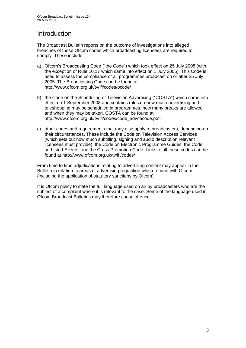# **Introduction**

The Broadcast Bulletin reports on the outcome of investigations into alleged breaches of those Ofcom codes which broadcasting licensees are required to comply. These include:

- a) Ofcom"s Broadcasting Code ("the Code") which took effect on 25 July 2005 (with the exception of Rule 10.17 which came into effect on 1 July 2005). This Code is used to assess the compliance of all programmes broadcast on or after 25 July 2005. The Broadcasting Code can be found at http://www.ofcom.org.uk/tv/ifi/codes/bcode/
- b) the Code on the Scheduling of Television Advertising ("COSTA") which came into effect on 1 September 2008 and contains rules on how much advertising and teleshopping may be scheduled in programmes, how many breaks are allowed and when they may be taken. COSTA can be found at [http://www.ofcom.org.uk/tv/ifi/codes/code\\_adv/tacode.pdf.](http://www.ofcom.org.uk/tv/ifi/codes/code_adv/tacode.pdf)
- c) other codes and requirements that may also apply to broadcasters, depending on their circumstances. These include the Code on Television Access Services (which sets out how much subtitling, signing and audio description relevant licensees must provide), the Code on Electronic Programme Guides, the Code on Listed Events, and the Cross Promotion Code. Links to all these codes can be found at http://www.ofcom.org.uk/tv/ifi/codes/

From time to time adjudications relating to advertising content may appear in the Bulletin in relation to areas of advertising regulation which remain with Ofcom (including the application of statutory sanctions by Ofcom).

It is Ofcom policy to state the full language used on air by broadcasters who are the subject of a complaint where it is relevant to the case. Some of the language used in Ofcom Broadcast Bulletins may therefore cause offence.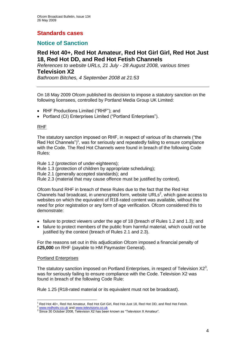## **Standards cases**

## **Notice of Sanction**

## **Red Hot 40+, Red Hot Amateur, Red Hot Girl Girl, Red Hot Just 18, Red Hot DD, and Red Hot Fetish Channels**

*References to website URLs, 21 July - 28 August 2008, various times*

## **Television X2**

*Bathroom Bitches, 4 September 2008 at 21:53*

On 18 May 2009 Ofcom published its decision to impose a statutory sanction on the following licensees, controlled by Portland Media Group UK Limited:

- RHF Productions Limited ("RHF"); and
- Portland (CI) Enterprises Limited ("Portland Enterprises").

## RHF

The statutory sanction imposed on RHF, in respect of various of its channels ("the Red Hot Channels")<sup>1</sup>, was for seriously and repeatedly failing to ensure compliance with the Code. The Red Hot Channels were found in breach of the following Code Rules:

Rule 1.2 (protection of under-eighteens); Rule 1.3 (protection of children by appropriate scheduling); Rule 2.1 (generally accepted standards); and Rule 2.3 (material that may cause offence must be justified by context).

Ofcom found RHF in breach of these Rules due to the fact that the Red Hot Channels had broadcast, in unencrypted form, website URLs<sup>2</sup>, which gave access to websites on which the equivalent of R18-rated content was available, without the need for prior registration or any form of age verification. Ofcom considered this to demonstrate:

- $\bullet$  failure to protect viewers under the age of 18 (breach of Rules 1.2 and 1.3); and
- failure to protect members of the public from harmful material, which could not be justified by the context (breach of Rules 2.1 and 2.3).

For the reasons set out in this adjudication Ofcom imposed a financial penalty of **£25,000** on RHF (payable to HM Paymaster General).

## Portland Enterprises

The statutory sanction imposed on Portland Enterprises, in respect of Television  $X2<sup>3</sup>$ , was for seriously failing to ensure compliance with the Code. Television X2 was found in breach of the following Code Rule:

Rule 1.25 (R18-rated material or its equivalent must not be broadcast).

<sup>1</sup>  $\frac{1}{2}$  Red Hot 40+, Red Hot Amateur, Red Hot Girl Girl, Red Hot Just 18, Red Hot DD, and Red Hot Fetish.

[www.redhottv.co.uk](http://www.redhottv.co.uk/) an[d www.televisionx.co.uk](http://www.televisionx.co.uk/)

<sup>&</sup>lt;sup>3</sup> Since 30 October 2008, Television X2 has been known as "Television X Amateur".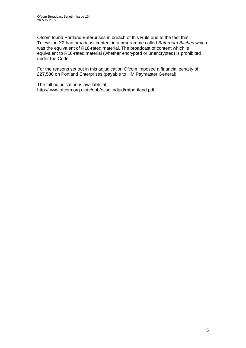Ofcom found Portland Enterprises in breach of this Rule due to the fact that Television X2 had broadcast content in a programme called *Bathroom Bitches* which was the equivalent of R18-rated material. The broadcast of content which is equivalent to R18-rated material (whether encrypted or unencrypted) is prohibited under the Code.

For the reasons set out in this adjudication Ofcom imposed a financial penalty of **£27,500** on Portland Enterprises (payable to HM Paymaster General).

The full adjudication is available at: http://www.ofcom.org.uk/tv/obb/ocsc\_adjud/rhfportland.pdf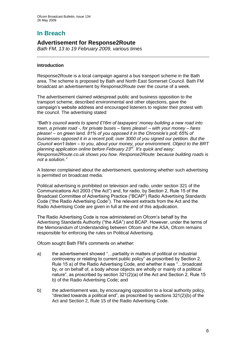# **In Breach**

## **Advertisement for Response2Route**

*Bath FM, 13 to 19 February 2009, various times*

## **Introduction**

Response2Route is a local campaign against a bus transport scheme in the Bath area. The scheme is proposed by Bath and North East Somerset Council. Bath FM broadcast an advertisement by Response2Route over the course of a week.

The advertisement claimed widespread public and business opposition to the transport scheme, described environmental and other objections, gave the campaign"s website address and encouraged listeners to register their protest with the council. The advertising stated:

*―Bath's council wants to spend £16m of taxpayers' money building a new road into town, a private road -, for private buses – fares please! – with your money – fares please! – on green land. 81% of you opposed it in the Chronicle's poll; 65% of businesses opposed it in a recent poll; over 3000 of you signed our petition. But the Council won't listen – to you, about your money, your environment. Object to the BRT planning application online before February 23rd. It's quick and easy: Response2Route.co.uk shows you how. Response2Route: because building roads is not a solution.‖*

A listener complained about the advertisement, questioning whether such advertising is permitted on broadcast media.

Political advertising is prohibited on television and radio, under section 321 of the Communications Act 2003 ("the Act") and, for radio, by Section 2, Rule 15 of the Broadcast Committee of Advertising Practice ("BCAP") Radio Advertising Standards Code ("the Radio Advertising Code"). The relevant extracts from the Act and the Radio Advertising Code are given in full at the end of this adjudication.

The Radio Advertising Code is now administered on Ofcom"s behalf by the Advertising Standards Authority ("the ASA") and BCAP. However, under the terms of the Memorandum of Understanding between Ofcom and the ASA, Ofcom remains responsible for enforcing the rules on Political Advertising.

Ofcom sought Bath FM"s comments on whether:

- a) the advertisement showed "…partiality in matters of political or industrial controversy or relating to current public policy" as proscribed by Section 2, Rule 15 a) of the Radio Advertising Code, and whether it was "…broadcast by, or on behalf of, a body whose objects are wholly or mainly of a political nature", as proscribed by section 321(2)(a) of the Act and Section 2, Rule 15 b) of the Radio Advertising Code; and
- b) the advertisement was, by encouraging opposition to a local authority policy, "directed towards a political end", as proscribed by sections 321(2)(b) of the Act and Section 2, Rule 15 of the Radio Advertising Code.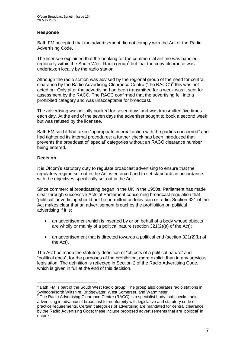## **Response**

Bath FM accepted that the advertisement did not comply with the Act or the Radio Advertising Code.

The licensee explained that the booking for the commercial airtime was handled regionally within the South West Radio group<sup>1</sup> but that the copy clearance was undertaken locally by the radio station.

Although the radio station was advised by the regional group of the need for central clearance by the Radio Advertising Clearance Centre ("the RACC")<sup>2</sup> this was not acted on. Only after the advertising had been transmitted for a week was it sent for assessment by the RACC. The RACC confirmed that the advertising fell into a prohibited category and was unacceptable for broadcast.

The advertising was initially booked for seven days and was transmitted five times each day. At the end of the seven days the advertiser sought to book a second week but was refused by the licensee.

Bath FM said it had taken "appropriate internal action with the parties concerned" and had tightened its internal procedures: a further check has been introduced that prevents the broadcast of "special" categories without an RACC clearance number being entered.

## **Decision**

It is Ofcom"s statutory duty to regulate broadcast advertising to ensure that the regulatory regime set out in the Act is enforced and to set standards in accordance with the objectives specifically set out in the Act.

Since commercial broadcasting began in the UK in the 1950s, Parliament has made clear through successive Acts of Parliament concerning broadcast regulation that "political" advertising should not be permitted on television or radio. Section 321 of the Act makes clear that an advertisement breaches the prohibition on political advertising if it is:

- an advertisement which is inserted by or on behalf of a body whose objects  $\bullet$ are wholly or mainly of a political nature (section 321(2)(a) of the Act);
- an advertisement that is directed towards a political end (section 321(2)(b) of the Act).

The Act has made the statutory definition of "objects of a political nature" and "political ends", for the purposes of the prohibition, more explicit than in any previous legislation. The definition is reflected in Section 2 of the Radio Advertising Code, which is given in full at the end of this decision.

<sup>1</sup> 1 Bath FM is part of the South West Radio group. The group also operates radio stations in Swindon/North Wiltshire, Bridgewater, West Somerset, and Warminster.<br><sup>2</sup> The Radio Advertising Clearance Centre (RACC) is a specialist body that checks radio

advertising in advance of broadcast for conformity with legislative and statutory code of practice requirements. Certain categories of advertising are mandated for central clearance by the Radio Advertising Code; these include proposed advertisements that are "political" in nature.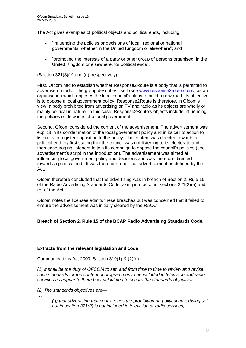The Act gives examples of political objects and political ends, including:

- "influencing the policies or decisions of local, regional or national governments, whether in the United Kingdom or elsewhere"; and
- "promoting the interests of a party or other group of persons organised, in the United Kingdom or elsewhere, for political ends".

(Section 321(3)(c) and (g), respectively).

First, Ofcom had to establish whether Response2Route is a body that is permitted to advertise on radio. The group describes itself (see [www.response2route.co.uk\)](http://www.response2route.co.uk/) as an organisation which opposes the local council"s plans to build a new road. Its objective is to oppose a local government policy. Response2Route is therefore, in Ofcom"s view, a body prohibited from advertising on TV and radio as its objects are wholly or mainly political in nature. In this case, Response2Route"s objects include influencing the policies or decisions of a local government.

Second, Ofcom considered the content of the advertisement. The advertisement was explicit in its condemnation of the local government policy and in its call to action to listeners to register opposition to the policy. The content was directed towards a political end, by first stating that the council was not listening to its electorate and then encouraging listeners to join its campaign to oppose the council"s policies (see advertisement's script in the Introduction). The advertisement was aimed at influencing local government policy and decisions and was therefore directed towards a political end. It was therefore a political advertisement as defined by the Act.

Ofcom therefore concluded that the advertising was in breach of Section 2, Rule 15 of the Radio Advertising Standards Code taking into account sections 321(2)(a) and (b) of the Act.

Ofcom notes the licensee admits these breaches but was concerned that it failed to ensure the advertisement was initially cleared by the RACC.

## **Breach of Section 2, Rule 15 of the BCAP Radio Advertising Standards Code,**

#### **Extracts from the relevant legislation and code**

Communications Act 2003, Section 319(1) & (2)(g)

*(1) It shall be the duty of OFCOM to set, and from time to time to review and revise, such standards for the content of programmes to be included in television and radio services as appear to them best calculated to secure the standards objectives.*

*(2) The standards objectives are—*

*…*

*(g) that advertising that contravenes the prohibition on political advertising set out in section 321(2) is not included in television or radio services;*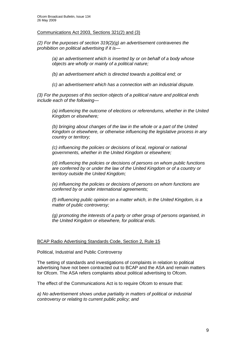## Communications Act 2003, Sections 321(2) and (3)

*(2) For the purposes of section 319(2)(g) an advertisement contravenes the prohibition on political advertising if it is—*

*(a) an advertisement which is inserted by or on behalf of a body whose objects are wholly or mainly of a political nature;*

*(b) an advertisement which is directed towards a political end; or*

*(c) an advertisement which has a connection with an industrial dispute.*

*(3) For the purposes of this section objects of a political nature and political ends include each of the following—*

*(a) influencing the outcome of elections or referendums, whether in the United Kingdom or elsewhere;*

*(b) bringing about changes of the law in the whole or a part of the United Kingdom or elsewhere, or otherwise influencing the legislative process in any country or territory;*

*(c) influencing the policies or decisions of local, regional or national governments, whether in the United Kingdom or elsewhere;*

*(d) influencing the policies or decisions of persons on whom public functions are conferred by or under the law of the United Kingdom or of a country or territory outside the United Kingdom;*

*(e) influencing the policies or decisions of persons on whom functions are conferred by or under international agreements;*

*(f) influencing public opinion on a matter which, in the United Kingdom, is a matter of public controversy;*

*(g) promoting the interests of a party or other group of persons organised, in the United Kingdom or elsewhere, for political ends.*

## BCAP Radio Advertising Standards Code, Section 2, Rule 15

Political, Industrial and Public Controversy

The setting of standards and investigations of complaints in relation to political advertising have not been contracted out to BCAP and the ASA and remain matters for Ofcom. The ASA refers complaints about political advertising to Ofcom.

The effect of the Communications Act is to require Ofcom to ensure that:

*a) No advertisement shows undue partiality in matters of political or industrial controversy or relating to current public policy; and*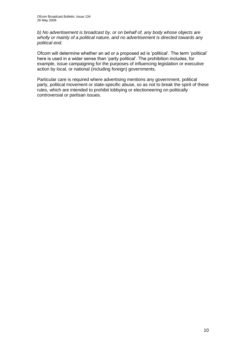*b) No advertisement is broadcast by, or on behalf of, any body whose objects are wholly or mainly of a political nature, and no advertisement is directed towards any political end.*

Ofcom will determine whether an ad or a proposed ad is "political". The term "political" here is used in a wider sense than "party political". The prohibition includes, for example, issue campaigning for the purposes of influencing legislation or executive action by local, or national (including foreign) governments.

Particular care is required where advertising mentions any government, political party, political movement or state-specific abuse, so as not to break the spirit of these rules, which are intended to prohibit lobbying or electioneering on politically controversial or partisan issues.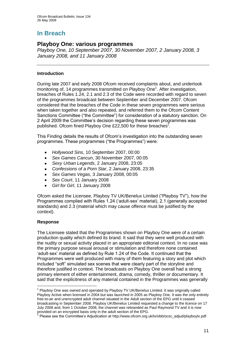# **In Breach**

## **Playboy One: various programmes**

*Playboy One, 10 September 2007, 30 November 2007, 2 January 2008, 3 January 2008, and 11 January 2008*

## **Introduction**

During late 2007 and early 2008 Ofcom received complaints about, and undertook monitoring of, 14 programmes transmitted on Playboy One<sup>1</sup>. After investigation, breaches of Rules 1.24, 2.1 and 2.3 of the Code were recorded with regard to seven of the programmes broadcast between September and December 2007. Ofcom considered that the breaches of the Code in these seven programmes were serious when taken together and also repeated, and referred them to the Ofcom Content Sanctions Committee ("the Committee") for consideration of a statutory sanction. On 2 April 2009 the Committee"s decision regarding these seven programmes was published. Ofcom fined Playboy One £22,500 for these breaches<sup>2</sup>.

This Finding details the results of Ofcom"s investigation into the outstanding seven programmes. These programmes ("the Programmes") were:

- *Hollywood Sins*, 10 September 2007, 00:00  $\bullet$
- *Sex Games Cancun*, 30 November 2007, 00:05
- *Sexy Urban Legends*, 2 January 2008, 23:05
- *Confessions of a Porn Star*, 2 January 2008, 23:35
- *Sex Games Vegas*, 3 January 2008, 00:05
- *Sex Court*, 11 January 2008
- *Girl for Girl*, 11 January 2008

Ofcom asked the Licensee, Playboy TV UK/Benelux Limited ("Playboy TV"), how the Programmes complied with Rules 1.24 ("adult-sex" material), 2.1 (generally accepted standards) and 2.3 (material which may cause offence must be justified by the context).

## **Response**

1

The Licensee stated that the Programmes shown on Playboy One were of a certain production quality which defined its brand. It said that they were well produced with the nudity or sexual activity placed in an appropriate editorial context. In no case was the primary purpose sexual arousal or stimulation and therefore none contained "adult-sex" material as defined by Rule 1.24 of the Code. It continued that the Programmes were well produced with many of them featuring a story and plot which included "soft" simulated sex scenes that were clearly part of the storyline and therefore justified in context. The broadcasts on Playboy One overall had a strong primary element of either entertainment, drama, comedy, thriller or documentary. It said that the explicitness of any material contained in the Programmes was generally

<sup>&</sup>lt;sup>1</sup> Playboy One was owned and operated by Playboy TV UK/Benelux Limited. It was originally called Playboy Active when licensed in 2004 but was launched in 2005 as Playboy One. It was the only entirely free-to-air and unencrypted adult channel situated in the Adult section of the EPG until it ceased broadcasting in September 2008. Playboy UK/Benelux Limited requested a change to the licence on 17 July 2008 and, from 1 October 2008, the channel was rebranded as Paul Raymond TV and it is now provided on an encrypted basis only in the adult section of the EPG.<br><sup>2</sup> Places age the Committee's Adjudication at http://www.efecm.org.j

Please see the Committee"s Adjudication at http://www.ofcom.org.uk/tv/obb/ocsc\_adjud/playboytv.pdf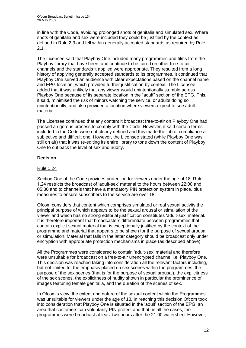in line with the Code, avoiding prolonged shots of genitalia and simulated sex. Where shots of genitalia and sex were included they could be justified by the context as defined in Rule 2.3 and fell within generally accepted standards as required by Rule 2.1.

The Licensee said that Playboy One included many programmes and films from the Playboy library that have been, and continue to be, aired on other free-to-air channels and the standards it applied were appropriate. They resulted from a long history of applying generally accepted standards to its programmes. It continued that Playboy One served an audience with clear expectations based on the channel name and EPG location, which provided further justification by context. The Licensee added that it was unlikely that any viewer would unintentionally stumble across Playboy One because of its separate location in the "adult" section of the EPG. This, it said, minimised the risk of minors watching the service, or adults doing so unintentionally, and also provided a location where viewers expect to see adult material.

The Licensee continued that any content it broadcast free-to-air on Playboy One had passed a rigorous process to comply with the Code. However, it said certain terms included in the Code were not clearly defined and this made the job of compliance a subjective and difficult one. However, the Licensee stated (while Playboy One was still on air) that it was re-editing its entire library to tone down the content of Playboy One to cut back the level of sex and nudity.

## **Decision**

## Rule 1.24

Section One of the Code provides protection for viewers under the age of 18. Rule 1.24 restricts the broadcast of "adult-sex" material to the hours between 22:00 and 05:30 and to channels that have a mandatory PIN protection system in place, plus measures to ensure subscribers to the service are over 18.

Ofcom considers that content which comprises simulated or real sexual activity the principal purpose of which appears to be the sexual arousal or stimulation of the viewer and which has no strong editorial justification constitutes "adult-sex" material. It is therefore important that broadcasters differentiate between programmes that contain explicit sexual material that is exceptionally justified by the context of the programme and material that appears to be shown for the purpose of sexual arousal or stimulation. Material that falls in the latter category should be broadcast only under encryption with appropriate protection mechanisms in place (as described above).

All the Programmes were considered to contain "adult-sex" material and therefore were unsuitable for broadcast on a free-to-air unencrypted channel i.e. Playboy One. This decision was reached taking into consideration all the relevant factors including, but not limited to, the emphasis placed on sex scenes within the programmes, the purpose of the sex scenes (that is for the purpose of sexual arousal), the explicitness of the sex scenes, the explicitness of nudity shown in particular the prominence of images featuring female genitalia, and the duration of the scenes of sex.

In Ofcom"s view, the extent and nature of the sexual content within the Programmes was unsuitable for viewers under the age of 18. In reaching this decision Ofcom took into consideration that Playboy One is situated in the "adult" section of the EPG, an area that customers can voluntarily PIN protect and that, in all the cases, the programmes were broadcast at least two hours after the 21:00 watershed. However,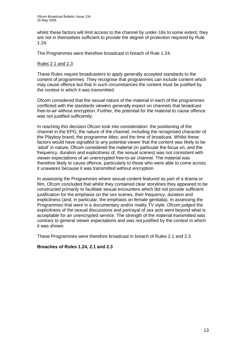whilst these factors will limit access to the channel by under-18s to some extent, they are not in themselves sufficient to provide the degree of protection required by Rule 1.24.

The Programmes were therefore broadcast in breach of Rule 1.24.

#### Rules 2.1 and 2.3

These Rules require broadcasters to apply generally accepted standards to the content of programmes. They recognise that programmes can include content which may cause offence but that in such circumstances the content must be justified by the context in which it was transmitted.

Ofcom considered that the sexual nature of the material in each of the programmes conflicted with the standards viewers generally expect on channels that broadcast free-to-air without encryption. Further, the potential for the material to cause offence was not justified sufficiently.

In reaching this decision Ofcom took into consideration: the positioning of the channel in the EPG; the nature of the channel, including the recognised character of the Playboy brand; the programme titles; and the time of broadcast. Whilst these factors would have signalled to any potential viewer that the content was likely to be "adult" in nature, Ofcom considered the material (in particular the focus on, and the frequency, duration and explicitness of, the sexual scenes) was not consistent with viewer expectations of an unencrypted free-to-air channel. The material was therefore likely to cause offence, particularly to those who were able to come across it unawares because it was transmitted without encryption.

In assessing the Programmes where sexual content featured as part of a drama or film, Ofcom concluded that whilst they contained clear storylines they appeared to be constructed primarily to facilitate sexual encounters which did not provide sufficient justification for the emphasis on the sex scenes, their frequency, duration and explicitness (and, in particular, the emphasis on female genitalia). In assessing the Programmes that were in a documentary and/or reality TV style, Ofcom judged the explicitness of the sexual discussions and portrayal of sex acts went beyond what is acceptable for an unencrypted service. The strength of the material transmitted was contrary to general viewer expectations and was not justified by the context in which it was shown.

These Programmes were therefore broadcast in breach of Rules 2.1 and 2.3

## **Breaches of Rules 1.24, 2.1 and 2.3**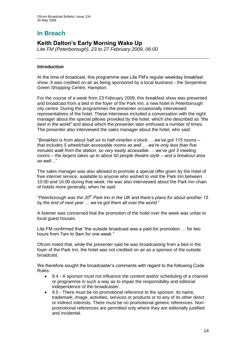# **In Breach**

## **Keith Dalton's Early Morning Wake Up**

*Lite FM (Peterborough), 23 to 27 February 2009, 06:00*

## **Introduction**

At the time of broadcast, this programme was Lite FM"s regular weekday breakfast show. It was credited on air as being sponsored by a local business - the Serpentine Green Shopping Centre, Hampton.

For the course of a week from 23 February 2009, this breakfast show was presented and broadcast from a bed in the foyer of the Park Inn, a new hotel in Peterborough city centre. During the programmes the presenter occasionally interviewed representatives of the hotel. These interviews included a conversation with the night manager about the special pillows provided by the hotel, which she described as *the best in the world*" and about which the presenter later enthused a number of times. The presenter also interviewed the sales manager about the hotel, who said:

"*Breakfast is from about half six to half-nine/ten o'clock … we've got 115 rooms – that includes 5 wheelchair-accessible rooms as well … we're only less than five minutes walk from the station, so very easily accessible … we've got 3 meeting rooms – the largest takes up to about 50 people theatre style – and a breakout area as well…*"

The sales manager was also allowed to promote a special offer given by the hotel of free internet service, available to anyone who wished to visit the Park Inn between 10:00 and 16:00 during that week. He was also interviewed about the Park Inn chain of hotels more generally, when he said:

"*Peterborough was the 20th Park Inn in the UK and there's plans for about another 15 by the end of next year … we've got them all over the world.*"

A listener was concerned that the promotion of the hotel over the week was unfair to local guest houses.

Lite FM confirmed that "the outside broadcast was a paid-for promotion … for two hours from 7am to 9am for one week."

Ofcom noted that, while the presenter said he was broadcasting from a bed in the foyer of the Park Inn, the hotel was not credited on air as a sponsor of the outside broadcast.

We therefore sought the broadcaster"s comments with regard to the following Code Rules:

- 9.4 A sponsor must not influence the content and/or scheduling of a channel  $\bullet$ or programme in such a way as to impair the responsibility and editorial independence of the broadcaster.
- 9.5 There must be no promotional reference to the sponsor, its name, trademark, image, activities, services or products or to any of its other direct or indirect interests. There must be no promotional generic references. Nonpromotional references are permitted only where they are editorially justified and incidental.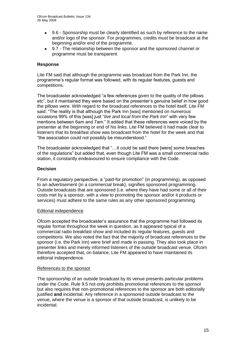- 9.6 Sponsorship must be clearly identified as such by reference to the name and/or logo of the sponsor. For programmes, credits must be broadcast at the beginning and/or end of the programme.
- 9.7 The relationship between the sponsor and the sponsored channel or  $\bullet$ programme must be transparent.

## **Response**

Lite FM said that although the programme was broadcast from the Park Inn, the programme"s regular format was followed, with its regular features, guests and competitions.

The broadcaster acknowledged "a few references given to the quality of the pillows etc", but it maintained they were based on the presenter"s genuine belief in how good the pillows were. With regard to the broadcast references to the hotel itself, Lite FM said: "The reality is that although the Park Inn [was] mentioned on numerous occasions 99% of this [was] just "*live and local from the Park Inn*" with very few mentions between 6am and 7am." It added that these references were voiced by the presenter at the beginning or end of his links. Lite FM believed it had made clear to listeners that its breakfast show was broadcast from the hotel for the week and that "the association could not possibly be misunderstood."

The broadcaster acknowledged that "…it could be said there [were] some breaches of the regulations" but added that, even though Lite FM was a small commercial radio station, it constantly endeavoured to ensure compliance with the Code.

#### **Decision**

From a regulatory perspective, a "paid-for promotion" (in programming), as opposed to an advertisement (in a commercial break), signifies sponsored programming. Outside broadcasts that are sponsored (i.e. where they have had some or all of their costs met by a sponsor, with a view to promoting the sponsor and/or it products or services) must adhere to the same rules as any other sponsored programming.

#### Editorial independence

Ofcom accepted the broadcaster"s assurance that the programme had followed its regular format throughout the week in question, as it appeared typical of a commercial radio breakfast show and included its regular features, guests and competitions. We also noted the fact that the majority of broadcast references to the sponsor (i.e. the Park Inn) were brief and made in passing. They also took place in presenter links and merely informed listeners of the outside broadcast venue. Ofcom therefore accepted that, on balance, Lite FM appeared to have maintained its editorial independence.

#### References to the sponsor

The sponsorship of an outside broadcast by its venue presents particular problems under the Code. Rule 9.5 not only prohibits promotional references to the sponsor but also requires that non-promotional references to the sponsor are both editorially justified **and** incidental. Any reference in a sponsored outside broadcast to the venue, where the venue is a sponsor of that outside broadcast, is unlikely to be incidental.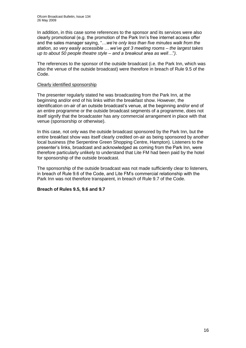In addition, in this case some references to the sponsor and its services were also clearly promotional (e.g. the promotion of the Park Inn"s free internet access offer and the sales manager saying, "…*we're only less than five minutes walk from the station, so very easily accessible … we've got 3 meeting rooms – the largest takes up to about 50 people theatre style – and a breakout area as well…*"*)*.

The references to the sponsor of the outside broadcast (i.e. the Park Inn, which was also the venue of the outside broadcast) were therefore in breach of Rule 9.5 of the Code.

## Clearly identified sponsorship

The presenter regularly stated he was broadcasting from the Park Inn, at the beginning and/or end of his links within the breakfast show. However, the identification on-air of an outside broadcast"s venue, at the beginning and/or end of an entire programme or the outside broadcast segments of a programme, does not itself signify that the broadcaster has any commercial arrangement in place with that venue (sponsorship or otherwise).

In this case, not only was the outside broadcast sponsored by the Park Inn, but the entire breakfast show was itself clearly credited on-air as being sponsored by another local business (the Serpentine Green Shopping Centre, Hampton). Listeners to the presenter"s links, broadcast and acknowledged as coming from the Park Inn, were therefore particularly unlikely to understand that Lite FM had been paid by the hotel for sponsorship of the outside broadcast.

The sponsorship of the outside broadcast was not made sufficiently clear to listeners, in breach of Rule 9.6 of the Code, and Lite FM"s commercial relationship with the Park Inn was not therefore transparent, in breach of Rule 9.7 of the Code.

#### **Breach of Rules 9.5, 9.6 and 9.7**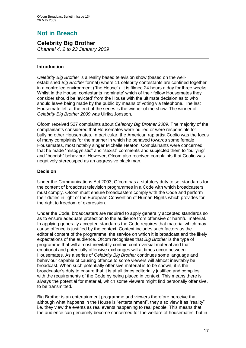# **Not in Breach**

**Celebrity Big Brother** *Channel 4, 2 to 23 January 2009*

## **Introduction**

*Celebrity Big Brother* is a reality based television show (based on the wellestablished *Big Brother* format) where 11 celebrity contestants are confined together in a controlled environment ("the House"). It is filmed 24 hours a day for three weeks. Whilst in the House, contestants "nominate" which of their fellow Housemates they consider should be "evicted" from the House with the ultimate decision as to who should leave being made by the public by means of voting via telephone. The last Housemate left at the end of the series is the winner of the show. The winner of *Celebrity Big Brother 2009* was Ulrika Jonsson.

Ofcom received 527 complaints about *Celebrity Big Brother 2009*. The majority of the complainants considered that Housemates were bullied or were responsible for bullying other Housemates. In particular, the American rap artist Coolio was the focus of many complaints for the manner in which he behaved towards some female Housemates, most notably singer Michelle Heaton. Complainants were concerned that he made "misogynistic" and "sexist" comments and subjected them to "bullying" and "boorish" behaviour. However, Ofcom also received complaints that Coolio was negatively stereotyped as an aggressive black man.

#### **Decision**

Under the Communications Act 2003, Ofcom has a statutory duty to set standards for the content of broadcast television programmes in a Code with which broadcasters must comply. Ofcom must ensure broadcasters comply with the Code and perform their duties in light of the European Convention of Human Rights which provides for the right to freedom of expression.

Under the Code, broadcasters are required to apply generally accepted standards so as to ensure adequate protection to the audience from offensive or harmful material. In applying generally accepted standards the Code requires that material which may cause offence is justified by the context. Context includes such factors as the editorial content of the programme, the service on which it is broadcast and the likely expectations of the audience. Ofcom recognises that *Big Brother* is the type of programme that will almost inevitably contain controversial material and that emotional and potentially offensive exchanges will at times occur between Housemates. As a series of *Celebrity Big Brother* continues some language and behaviour capable of causing offence to some viewers will almost inevitably be broadcast. When such potentially offensive material is to be shown, it is the broadcaster"s duty to ensure that it is at all times editorially justified and complies with the requirements of the Code by being placed in context. This means there is always the potential for material, which some viewers might find personally offensive, to be transmitted.

Big Brother is an entertainment programme and viewers therefore perceive that although what happens in the House is "entertainment", they also view it as "reality" i.e. they view the events as real events happening to real people. This means that the audience can genuinely become concerned for the welfare of housemates, but in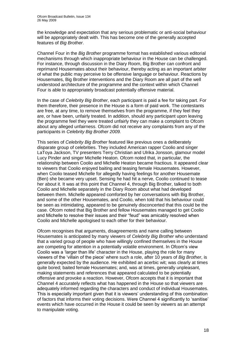the knowledge and expectation that any serious problematic or anti-social behaviour will be appropriately dealt with. This has become one of the generally accepted features of *Big Brother*.

Channel Four in the *Big Brother* programme format has established various editorial mechanisms through which inappropriate behaviour in the House can be challenged. For instance, through discussion in the Diary Room, Big Brother can confront and reprimand Housemates about their behaviour, thereby acting as an important arbiter of what the public may perceive to be offensive language or behaviour. Reactions by Housemates, Big Brother interventions and the Diary Room are all part of the well understood architecture of the programme and the context within which Channel Four is able to appropriately broadcast potentially offensive material.

In the case of *Celebrity Big Brother*, each participant is paid a fee for taking part. For them therefore, their presence in the House is a form of paid work. The contestants are free, at any time, to remove themselves from the programme, if they feel they are, or have been, unfairly treated. In addition, should any participant upon leaving the programme feel they were treated unfairly they can make a complaint to Ofcom about any alleged unfairness. Ofcom did not receive any complaints from any of the participants in *Celebrity Big Brother 2009.*

This series of *Celebrity Big Brother* featured like previous ones a deliberately disparate group of celebrities. They included American rapper Coolio and singer LaToya Jackson, TV presenters Terry Christian and Ulrika Jonsson, glamour model Lucy Pinder and singer Michelle Heaton. Ofcom noted that, in particular, the relationship between Coolio and Michelle Heaton became fractious. It appeared clear to viewers that Coolio enjoyed baiting and teasing female Housemates. However, when Coolio teased Michelle for allegedly having feelings for another Housemate (Ben) she became very upset. Sensing he had hit a nerve, Coolio continued to tease her about it. It was at this point that Channel 4, through Big Brother, talked to both Coolio and Michelle separately in the Diary Room about what had developed between them. Michelle appeared comforted by her conversations with Big Brother, and some of the other Housemates, and Coolio, when told that his behaviour could be seen as intimidating, appeared to be genuinely disconcerted that this could be the case. Ofcom noted that Big Brother and fellow Housemates managed to get Coolio and Michelle to resolve their issues and their "feud" was amicably resolved when Coolio and Michelle apologised to each other for their behaviour.

Ofcom recognises that arguments, disagreements and name calling between Housemates is anticipated by many viewers of *Celebrity Big Brother* who understand that a varied group of people who have willingly confined themselves in the House are competing for attention in a potentially volatile environment. In Ofcom"s view Coolio was a "larger than life" character in the House, playing the role for many viewers of the "villain of the piece" where such a role, after 10 years of *Big Brother*, is generally expected by the audience. He exhibited an acerbic wit; was clearly at times quite bored; baited female Housemates; and, was at times, generally unpleasant, making statements and references that appeared calculated to be potentially offensive and provoke a reaction. However, Ofcom accepts that it is important that Channel 4 accurately reflects what has happened in the House so that viewers are adequately informed regarding the characters and conduct of individual Housemates. This is especially important given that it is viewers' understanding of this combination of factors that informs their voting decisions. Were Channel 4 significantly to "sanitise" events which have occurred in the House it could be seen by viewers as an attempt to manipulate voting.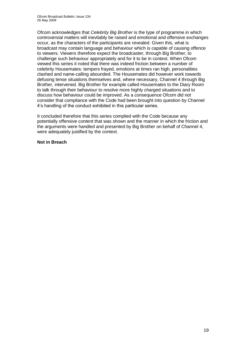Ofcom acknowledges that *Celebrity Big Brother* is the type of programme in which controversial matters will inevitably be raised and emotional and offensive exchanges occur, as the characters of the participants are revealed. Given this, what is broadcast may contain language and behaviour which is capable of causing offence to viewers. Viewers therefore expect the broadcaster, through Big Brother, to challenge such behaviour appropriately and for it to be in context. When Ofcom viewed this series it noted that there was indeed friction between a number of celebrity Housemates: tempers frayed, emotions at times ran high, personalities clashed and name-calling abounded. The Housemates did however work towards defusing tense situations themselves and, where necessary, Channel 4 through Big Brother, intervened. Big Brother for example called Housemates to the Diary Room to talk through their behaviour to resolve more highly charged situations and to discuss how behaviour could be improved. As a consequence Ofcom did not consider that compliance with the Code had been brought into question by Channel 4"s handling of the conduct exhibited in this particular series.

It concluded therefore that this series complied with the Code because any potentially offensive content that was shown and the manner in which the friction and the arguments were handled and presented by Big Brother on behalf of Channel 4, were adequately justified by the context.

#### **Not in Breach**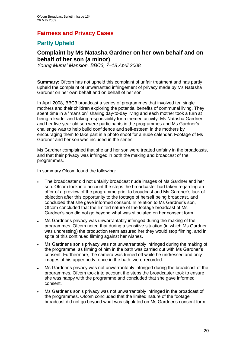## **Fairness and Privacy Cases**

## **Partly Upheld**

## **Complaint by Ms Natasha Gardner on her own behalf and on behalf of her son (a minor)**

*Young Mums' Mansion, BBC3, 7–18 April 2008*

**Summary:** Ofcom has not upheld this complaint of unfair treatment and has partly upheld the complaint of unwarranted infringement of privacy made by Ms Natasha Gardner on her own behalf and on behalf of her son.

In April 2008, BBC3 broadcast a series of programmes that involved ten single mothers and their children exploring the potential benefits of communal living. They spent time in a "mansion" sharing day-to-day living and each mother took a turn at being a leader and taking responsibility for a themed activity. Ms Natasha Gardner and her five year old son were participants in the programmes and Ms Gardner"s challenge was to help build confidence and self-esteem in the mothers by encouraging them to take part in a photo shoot for a nude calendar. Footage of Ms Gardner and her son was included in the series.

Ms Gardner complained that she and her son were treated unfairly in the broadcasts, and that their privacy was infringed in both the making and broadcast of the programmes.

In summary Ofcom found the following:

- The broadcaster did not unfairly broadcast nude images of Ms Gardner and her son. Ofcom took into account the steps the broadcaster had taken regarding an offer of a preview of the programme prior to broadcast and Ms Gardner"s lack of objection after this opportunity to the footage of herself being broadcast, and concluded that she gave informed consent. In relation to Ms Gardner"s son, Ofcom concluded that the limited nature of the footage broadcast of Ms Gardner"s son did not go beyond what was stipulated on her consent form.
- Ms Gardner"s privacy was unwarrantably infringed during the making of the  $\bullet$ programmes. Ofcom noted that during a sensitive situation (in which Ms Gardner was undressing) the production team assured her they would stop filming, and in spite of this continued filming against her wishes.
- Ms Gardner"s son"s privacy was not unwarrantably infringed during the making of  $\bullet$ the programme, as filming of him in the bath was carried out with Ms Gardner"s consent. Furthermore, the camera was turned off while he undressed and only images of his upper body, once in the bath, were recorded.
- Ms Gardner"s privacy was not unwarrantably infringed during the broadcast of the  $\bullet$ programmes. Ofcom took into account the steps the broadcaster took to ensure she was happy with the programme and concluded that she gave informed consent.
- Ms Gardner"s son"s privacy was not unwarrantably infringed in the broadcast of the programmes. Ofcom concluded that the limited nature of the footage broadcast did not go beyond what was stipulated on Ms Gardner"s consent form.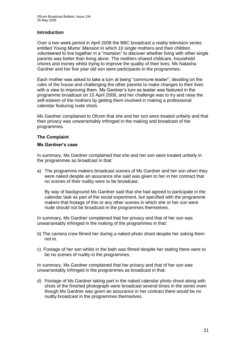## **Introduction**

Over a two week period in April 2008 the BBC broadcast a reality television series entitled *Young Mums' Mansion* in which 10 single mothers and their children volunteered to live together in a "mansion" to discover whether living with other single parents was better than living alone. The mothers shared childcare, household chores and money whilst trying to improve the quality of their lives. Ms Natasha Gardner and her five year old son were participants in the programmes.

Each mother was asked to take a turn at being "commune leader", deciding on the rules of the house and challenging the other parents to make changes to their lives with a view to improving them. Ms Gardner"s turn as leader was featured in the programme broadcast on 10 April 2008, and her challenge was to try and raise the self-esteem of the mothers by getting them involved in making a professional calendar featuring nude shots.

Ms Gardner complained to Ofcom that she and her son were treated unfairly and that their privacy was unwarrantably infringed in the making and broadcast of the programmes.

## **The Complaint**

#### **Ms Gardner's case**

In summary, Ms Gardner complained that she and her son were treated unfairly in the programmes as broadcast in that:

a) The programme makers broadcast scenes of Ms Gardner and her son when they were naked despite an assurance she said was given to her in her contract that no scenes of their nudity were to be broadcast.

By way of background Ms Gardner said that she had agreed to participate in the calendar task as part of the social experiment, but specified with the programme makers that footage of this or any other scenes in which she or her son were nude should not be broadcast in the programmes themselves.

In summary, Ms Gardner complained that her privacy and that of her son was unwarrantably infringed in the making of the programmes in that:

- b) The camera crew filmed her during a naked photo shoot despite her asking them not to.
- c) Footage of her son whilst in the bath was filmed despite her stating there were to be no scenes of nudity in the programmes.

In summary, Ms Gardner complained that her privacy and that of her son was unwarrantably infringed in the programmes as broadcast in that:

d) Footage of Ms Gardner taking part in the naked calendar photo shoot along with shots of the finished photograph were broadcast several times in the series even though Ms Gardner was given an assurance in her contract there would be no nudity broadcast in the programmes themselves.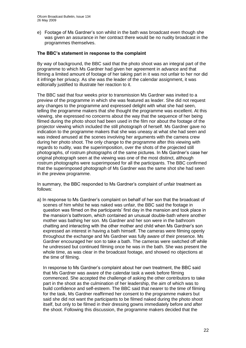e) Footage of Ms Gardner"s son whilst in the bath was broadcast even though she was given an assurance in her contract there would be no nudity broadcast in the programmes themselves.

## **The BBC's statement in response to the complaint**

By way of background, the BBC said that the photo shoot was an integral part of the programme to which Ms Gardner had given her agreement in advance and that filming a limited amount of footage of her taking part in it was not unfair to her nor did it infringe her privacy. As she was the leader of the calendar assignment, it was editorially justified to illustrate her reaction to it.

The BBC said that four weeks prior to transmission Ms Gardner was invited to a preview of the programme in which she was featured as leader. She did not request any changes to the programme and expressed delight with what she had seen, telling the programme makers that she thought the programme was excellent. At this viewing, she expressed no concerns about the way that the sequence of her being filmed during the photo shoot had been used in the film nor about the footage of the projector viewing which included the still photograph of herself. Ms Gardner gave no indication to the programme makers that she was uneasy at what she had seen and was indeed amused at the scenes involving her arguments with the camera crew during her photo shoot. The only change to the programme after this viewing with regards to nudity, was the superimposition, over the shots of the projected still photographs, of rostrum photographs of the same pictures. In Ms Gardner"s case her original photograph seen at the viewing was one of the most distinct, although rostrum photographs were superimposed for all the participants. The BBC confirmed that the superimposed photograph of Ms Gardner was the same shot she had seen in the preview programme.

In summary, the BBC responded to Ms Gardner"s complaint of unfair treatment as follows:

a) In response to Ms Gardner"s complaint on behalf of her son that the broadcast of scenes of him whilst he was naked was unfair, the BBC said the footage in question was filmed on the participants" first day in the mansion and took place in the mansion"s bathroom, which contained an unusual double-bath where another mother was bathing her son. Ms Gardner and her son were in the bathroom chatting and interacting with the other mother and child when Ms Gardner"s son expressed an interest in having a bath himself. The cameras were filming openly throughout the exchange and Ms Gardner was fully aware of their presence. Ms Gardner encouraged her son to take a bath. The cameras were switched off while he undressed but continued filming once he was in the bath. She was present the whole time, as was clear in the broadcast footage, and showed no objections at the time of filming.

In response to Ms Gardner"s complaint about her own treatment, the BBC said that Ms Gardner was aware of the calendar task a week before filming commenced. She accepted the challenge of asking the other contributors to take part in the shoot as the culmination of her leadership, the aim of which was to build confidence and self-esteem. The BBC said that nearer to the time of filming for the task, Ms Gardner reaffirmed her consent to the programme makers but said she did not want the participants to be filmed naked during the photo shoot itself, but only to be filmed in their dressing gowns immediately before and after the shoot. Following this discussion, the programme makers decided that the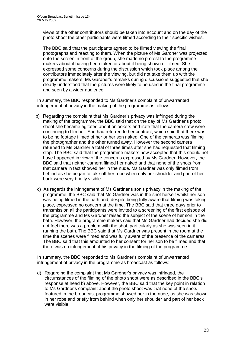views of the other contributors should be taken into account and on the day of the photo shoot the other participants were filmed according to their specific wishes.

The BBC said that the participants agreed to be filmed viewing the final photographs and reacting to them. When the picture of Ms Gardner was projected onto the screen in front of the group, she made no protest to the programme makers about it having been taken or about it being shown or filmed. She expressed some concerns during the discussion which took place among the contributors immediately after the viewing, but did not take them up with the programme makers. Ms Gardner"s remarks during discussions suggested that she clearly understood that the pictures were likely to be used in the final programme and seen by a wider audience.

In summary, the BBC responded to Ms Gardner"s complaint of unwarranted infringement of privacy in the making of the programme as follows:

- b) Regarding the complaint that Ms Gardner"s privacy was infringed during the making of the programme, the BBC said that on the day of Ms Gardner"s photo shoot she became agitated about onlookers and irate that the camera crew were continuing to film her. She had referred to her contract, which said that there was to be no footage filmed of her or her son naked. One of the cameras was filming the photographer and the other turned away. However the second camera returned to Ms Gardner a total of three times after she had requested that filming stop. The BBC said that the programme makers now accepted that this should not have happened in view of the concerns expressed by Ms Gardner. However, the BBC said that neither camera filmed her naked and that none of the shots from that camera in fact showed her in the nude. Ms Gardner was only filmed from behind as she began to take off her robe when only her shoulder and part of her back were very briefly visible.
- c) As regards the infringement of Ms Gardner"s son"s privacy in the making of the programme, the BBC said that Ms Gardner was in the shot herself whilst her son was being filmed in the bath and, despite being fully aware that filming was taking place, expressed no concern at the time. The BBC said that three days prior to transmission all the participants were invited to a screening of the first episode of the programme and Ms Gardner raised the subject of the scene of her son in the bath. However, the programme makers said that Ms Gardner had decided she did not feel there was a problem with the shot, particularly as she was seen in it running the bath. The BBC said that Ms Gardner was present in the room at the time the scenes were filmed and was fully aware of the presence of the cameras. The BBC said that this amounted to her consent for her son to be filmed and that there was no infringement of his privacy in the filming of the programme.

In summary, the BBC responded to Ms Gardner"s complaint of unwarranted infringement of privacy in the programme as broadcast as follows:

d) Regarding the complaint that Ms Gardner"s privacy was infringed, the circumstances of the filming of the photo shoot were as described in the BBC"s response at head b) above. However, the BBC said that the key point in relation to Ms Gardner"s complaint about the photo shoot was that none of the shots featured in the broadcast programme showed her in the nude, as she was shown in her robe and briefly from behind when only her shoulder and part of her back were visible.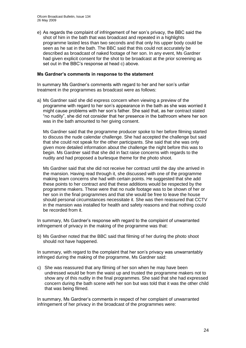e) As regards the complaint of infringement of her son"s privacy, the BBC said the shot of him in the bath that was broadcast and repeated in a highlights programme lasted less than two seconds and that only his upper body could be seen as he sat in the bath. The BBC said that this could not accurately be described as broadcast of naked footage of her son. In any event, Ms Gardner had given explicit consent for the shot to be broadcast at the prior screening as set out in the BBC"s response at head c) above.

#### **Ms Gardner's comments in response to the statement**

In summary Ms Gardner"s comments with regard to her and her son"s unfair treatment in the programmes as broadcast were as follows:

a) Ms Gardner said she did express concern when viewing a preview of the programme with regard to her son"s appearance in the bath as she was worried it might cause problems with her son"s father. She said that, as her contract stated "no nudity", she did not consider that her presence in the bathroom where her son was in the bath amounted to her giving consent.

Ms Gardner said that the programme producer spoke to her before filming started to discuss the nude calendar challenge. She had accepted the challenge but said that she could not speak for the other participants. She said that she was only given more detailed information about the challenge the night before this was to begin. Ms Gardner said that she did in fact raise concerns with regards to the nudity and had proposed a burlesque theme for the photo shoot.

Ms Gardner said that she did not receive her contract until the day she arrived in the mansion. Having read through it, she discussed with one of the programme making team concerns she had with certain points. He suggested that she add these points to her contract and that these additions would be respected by the programme makers. These were that no nude footage was to be shown of her or her son in the final programmes and that she would be free to leave the house should personal circumstances necessitate it. She was then reassured that CCTV in the mansion was installed for health and safety reasons and that nothing could be recorded from it.

In summary, Ms Gardner"s response with regard to the complaint of unwarranted infringement of privacy in the making of the programme was that:

b) Ms Gardner noted that the BBC said that filming of her during the photo shoot should not have happened.

In summary, with regard to the complaint that her son"s privacy was unwarrantably infringed during the making of the programme, Ms Gardner said:

c) She was reassured that any filming of her son when he may have been undressed would be from the waist up and trusted the programme makers not to show any of this nudity in the final programmes. She said that she had expressed concern during the bath scene with her son but was told that it was the other child that was being filmed.

In summary, Ms Gardner"s comments in respect of her complaint of unwarranted infringement of her privacy in the broadcast of the programmes were: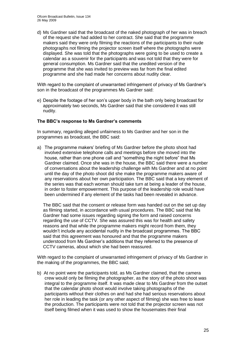d) Ms Gardner said that the broadcast of the naked photograph of her was in breach of the request she had added to her contract. She said that the programme makers said they were only filming the reactions of the participants to their nude photographs not filming the projector screen itself where the photographs were displayed. She was told that the photographs were going to be used to create a calendar as a souvenir for the participants and was not told that they were for general consumption. Ms Gardner said that the unedited version of the programme that she was invited to preview was far from the final edited programme and she had made her concerns about nudity clear.

With regard to the complaint of unwarranted infringement of privacy of Ms Gardner's son in the broadcast of the programmes Ms Gardner said:

e) Despite the footage of her son"s upper body in the bath only being broadcast for approximately two seconds, Ms Gardner said that she considered it was still nudity.

## **The BBC's response to Ms Gardner's comments**

In summary, regarding alleged unfairness to Ms Gardner and her son in the programmes as broadcast, the BBC said:

a) The programme makers" briefing of Ms Gardner before the photo shoot had involved extensive telephone calls and meetings before she moved into the house, rather than one phone call and "something the night before" that Ms Gardner claimed. Once she was in the house, the BBC said there were a number of conversations about the leadership challenge with Ms Gardner and at no point until the day of the photo shoot did she make the programme makers aware of any reservations about her own participation. The BBC said that a key element of the series was that each woman should take turn at being a leader of the house, in order to foster empowerment. This purpose of the leadership role would have been undermined if any element of the tasks had been revealed in advance.

The BBC said that the consent or release form was handed out on the set up day as filming started, in accordance with usual procedures. The BBC said that Ms Gardner had some issues regarding signing the form and raised concerns regarding the use of CCTV. She was assured this was for health and safety reasons and that while the programme makers might record from them, they wouldn"t include any accidental nudity in the broadcast programmes. The BBC said that this agreement was honoured and that the programme makers understood from Ms Gardner"s additions that they referred to the presence of CCTV cameras, about which she had been reassured.

With regard to the complaint of unwarranted infringement of privacy of Ms Gardner in the making of the programmes, the BBC said;

b) At no point were the participants told, as Ms Gardner claimed, that the camera crew would only be filming the photographer, as the story of the photo shoot was integral to the programme itself. It was made clear to Ms Gardner from the outset that the calendar photo shoot would involve taking photographs of the participants without their clothes on and had she had serious reservations about her role in leading the task (or any other aspect of filming) she was free to leave the production. The participants were not told that the projector screen was not itself being filmed when it was used to show the housemates their final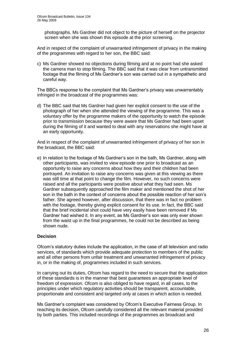photographs. Ms Gardner did not object to the picture of herself on the projector screen when she was shown this episode at the prior screening.

And in respect of the complaint of unwarranted infringement of privacy in the making of the programmes with regard to her son, the BBC said:

c) Ms Gardner showed no objections during filming and at no point had she asked the camera man to stop filming. The BBC said that it was clear from untransmitted footage that the filming of Ms Gardner"s son was carried out in a sympathetic and careful way.

The BBCs response to the complaint that Ms Gardner"s privacy was unwarrantably infringed in the broadcast of the programmes was:

d) The BBC said that Ms Gardner had given her explicit consent to the use of the photograph of her when she attended the viewing of the programme. This was a voluntary offer by the programme makers of the opportunity to watch the episode prior to transmission because they were aware that Ms Gardner had been upset during the filming of it and wanted to deal with any reservations she might have at an early opportunity.

And in respect of the complaint of unwarranted infringement of privacy of her son in the broadcast, the BBC said:

e) In relation to the footage of Ms Gardner"s son in the bath, Ms Gardner, along with other participants, was invited to view episode one prior to broadcast as an opportunity to raise any concerns about how they and their children had been portrayed. An invitation to raise any concerns was given at this viewing as there was still time at that point to change the film. However, no such concerns were raised and all the participants were positive about what they had seen. Ms Gardner subsequently approached the film maker and mentioned the shot of her son in the bath in the context of concerns about the possible reaction of her son"s father. She agreed however, after discussion, that there was in fact no problem with the footage, thereby giving explicit consent for its use. In fact, the BBC said that the brief incidental shot could have very easily have been removed if Ms Gardner had wished it. In any event, as Ms Gardner"s son was only ever shown from the waist up in the final programmes, he could not be described as being shown nude.

## **Decision**

Ofcom"s statutory duties include the application, in the case of all television and radio services, of standards which provide adequate protection to members of the public and all other persons from unfair treatment and unwarranted infringement of privacy in, or in the making of, programmes included in such services.

In carrying out its duties, Ofcom has regard to the need to secure that the application of these standards is in the manner that best guarantees an appropriate level of freedom of expression. Ofcom is also obliged to have regard, in all cases, to the principles under which regulatory activities should be transparent, accountable, proportionate and consistent and targeted only at cases in which action is needed.

Ms Gardner"s complaint was considered by Ofcom"s Executive Fairness Group. In reaching its decision, Ofcom carefully considered all the relevant material provided by both parties. This included recordings of the programmes as broadcast and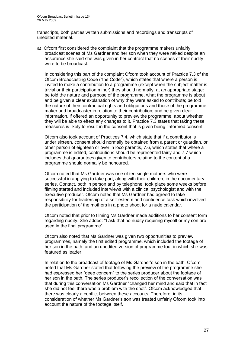transcripts, both parties written submissions and recordings and transcripts of unedited material.

a) Ofcom first considered the complaint that the programme makers unfairly broadcast scenes of Ms Gardner and her son when they were naked despite an assurance she said she was given in her contract that no scenes of their nudity were to be broadcast.

In considering this part of the complaint Ofcom took account of Practice 7.3 of the Ofcom Broadcasting Code ("the Code"), which states that where a person is invited to make a contribution to a programme (except when the subject matter is trivial or their participation minor) they should normally, at an appropriate stage: be told the nature and purpose of the programme, what the programme is about and be given a clear explanation of why they were asked to contribute; be told the nature of their contractual rights and obligations and those of the programme maker and broadcaster in relation to their contribution; and be given clear information, if offered an opportunity to preview the programme, about whether they will be able to effect any changes to it. Practice 7.3 states that taking these measures is likely to result in the consent that is given being "informed consent".

Ofcom also took account of Practices 7.4, which state that if a contributor is under sixteen, consent should normally be obtained from a parent or guardian, or other person of eighteen or over in loco parentis, 7.6, which states that where a programme is edited, contributions should be represented fairly and 7.7 which includes that guarantees given to contributors relating to the content of a programme should normally be honoured.

Ofcom noted that Ms Gardner was one of ten single mothers who were successful in applying to take part, along with their children, in the documentary series. Contact, both in person and by telephone, took place some weeks before filming started and included interviews with a clinical psychologist and with the executive producer. Ofcom noted that Ms Gardner had agreed to take responsibility for leadership of a self-esteem and confidence task which involved the participation of the mothers in a photo shoot for a nude calendar.

Ofcom noted that prior to filming Ms Gardner made additions to her consent form regarding nudity. She added: "I ask that no nudity requiring myself or my son are used in the final programme".

Ofcom also noted that Ms Gardner was given two opportunities to preview programmes, namely the first edited programme, which included the footage of her son in the bath, and an unedited version of programme four in which she was featured as leader.

In relation to the broadcast of footage of Ms Gardner"s son in the bath, Ofcom noted that Ms Gardner stated that following the preview of the programme she had expressed her "deep concern" to the series producer about the footage of her son in the bath. The series producer"s recollection of the conversation was that during this conversation Ms Gardner "changed her mind and said that in fact she did not feel there was a problem with the shot". Ofcom acknowledged that there was clearly a conflict between these accounts. Therefore, in its consideration of whether Ms Gardner"s son was treated unfairly Ofcom took into account the nature of the footage itself.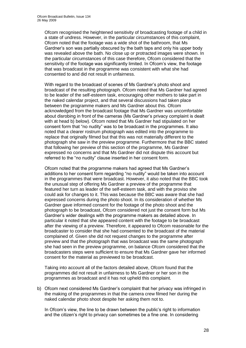Ofcom recognised the heightened sensitivity of broadcasting footage of a child in a state of undress. However, in the particular circumstances of this complaint, Ofcom noted that the footage was a wide shot of the bathroom, that Ms Gardner"s son was partially obscured by the bath taps and only his upper body was revealed above the bath. No close up or protracted images were shown. In the particular circumstances of this case therefore, Ofcom considered that the sensitivity of the footage was significantly limited. In Ofcom"s view, the footage that was broadcast in the programme was consistent with what she had consented to and did not result in unfairness.

With regard to the broadcast of scenes of Ms Gardner's photo shoot and broadcast of the resulting photograph. Ofcom noted that Ms Gardner had agreed to be leader of the self-esteem task, encouraging other mothers to take part in the naked calendar project, and that several discussions had taken place between the programme makers and Ms Gardner about this. Ofcom acknowledged from the broadcast footage that Ms Gardner was uncomfortable about disrobing in front of the cameras (Ms Gardner"s privacy complaint is dealt with at head b) below). Ofcom noted that Ms Gardner had stipulated on her consent form that "no nudity" was to be broadcast in the programmes. It also noted that a clearer rostrum photograph was edited into the programme to replace that originally filmed but that this was not materially different to the photograph she saw in the preview programme. Furthermore that the BBC stated that following her preview of this section of the programme, Ms Gardner expressed no concerns and that Ms Gardner did not dispute this account but referred to the "no nudity" clause inserted in her consent form.

Ofcom noted that the programme makers had agreed that Ms Gardner"s additions to her consent form regarding "no nudity" would be taken into account in the programmes that were broadcast. However, it also noted that the BBC took the unusual step of offering Ms Gardner a preview of the programme that featured her turn as leader of the self-esteem task, and with the proviso she could ask for changes to it. This was because the BBC was aware that she had expressed concerns during the photo shoot. In its consideration of whether Ms Gardner gave informed consent for the footage of the photo shoot and the photograph to be broadcast, Ofcom considered not just the consent form but Ms Gardner"s wider dealings with the programme makers as detailed above. In particular it noted that she appeared content with the footage to be broadcast after the viewing of a preview. Therefore, it appeared to Ofcom reasonable for the broadcaster to consider that she had consented to the broadcast of the material complained of. Given she did not request changes to the programme after preview and that the photograph that was broadcast was the same photograph she had seen in the preview programme, on balance Ofcom considered that the broadcasters steps were sufficient to ensure that Ms Gardner gave her informed consent for the material as previewed to be broadcast.

Taking into account all of the factors detailed above, Ofcom found that the programmes did not result in unfairness to Ms Gardner or her son in the programmes as broadcast and it has not upheld this complaint.

b) Ofcom next considered Ms Gardner"s complaint that her privacy was infringed in the making of the programmes in that the camera crew filmed her during the naked calendar photo shoot despite her asking them not to.

In Ofcom"s view, the line to be drawn between the public"s right to information and the citizen"s right to privacy can sometimes be a fine one. In considering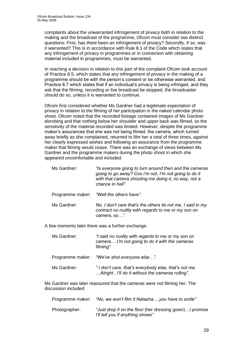complaints about the unwarranted infringement of privacy both in relation to the making and the broadcast of the programme, Ofcom must consider two distinct questions: First, has there been an infringement of privacy? Secondly, if so, was it warranted? This is in accordance with Rule 8.1 of the Code which states that any infringement of privacy in programmes or in connection with obtaining material included in programmes, must be warranted.

In reaching a decision in relation to this part of the complaint Ofcom took account of Practice 8.5, which states that any infringement of privacy in the making of a programme should be with the person"s consent or be otherwise warranted, and Practice 8.7 which states that if an individual"s privacy is being infringed, and they ask that the filming, recording or live broadcast be stopped, the broadcaster should do so, unless it is warranted to continue.

Ofcom first considered whether Ms Gardner had a legitimate expectation of privacy in relation to the filming of her participation in the naked calendar photo shoot. Ofcom noted that the recorded footage contained images of Ms Gardner disrobing and that nothing below her shoulder and upper back was filmed, so the sensitivity of the material recorded was limited. However, despite the programme maker"s assurances that she was not being filmed, the camera, which turned away briefly as she complained, returned to film her a total of three times, against her clearly expressed wishes and following an assurance from the programme maker that filming would cease. There was an exchange of views between Ms Gardner and the programme makers during the photo shoot in which she appeared uncomfortable and included:

| Ms Gardner: | "Is everyone going to turn around then and the cameras<br>going to go away? Cos I'm not, I'm not going to do it<br>with that camera shooting me doing it, no way, not a<br>chance in hell". |
|-------------|---------------------------------------------------------------------------------------------------------------------------------------------------------------------------------------------|
|             | Programme maker: "Well the others have".                                                                                                                                                    |
| Ms Gardner: | No, I don't care that's the others its not me. I said in my<br>contract no nudity with regards to me or my son on<br>camera, so".                                                           |

A few moments later there was a further exchange:

| Ms Gardner: | "I said no nudity with regards to me or my son on<br>cameraI'm not going to do it with the cameras<br>filming" |
|-------------|----------------------------------------------------------------------------------------------------------------|
|             | Programme maker: "We've shot everyone else".                                                                   |
| Ms Gardner: | "I don't care, that's everybody else, that's not me.<br>Alright, I'll do it without the cameras rolling".      |

Ms Gardner was later reassured that the cameras were not filming her. The discussion included:

| Programme maker: | "No, we won't film it Natashayou have to smile"                                              |
|------------------|----------------------------------------------------------------------------------------------|
| Photographer:    | "Just drop it on the floor (her dressing gown) I promise<br>I'll tell you if anything shows" |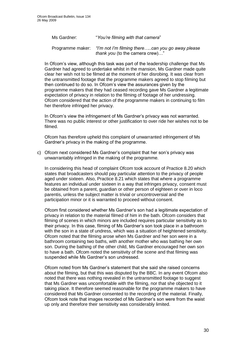| Ms Gardner: | "You're filming with that camera" |
|-------------|-----------------------------------|
|-------------|-----------------------------------|

Programme maker: *―I'm not I'm filming there…..can you go away please thank you* (to the camera crew)…"

In Ofcom"s view, although this task was part of the leadership challenge that Ms Gardner had agreed to undertake whilst in the mansion, Ms Gardner made quite clear her wish not to be filmed at the moment of her disrobing. It was clear from the untransmitted footage that the programme makers agreed to stop filming but then continued to do so. In Ofcom"s view the assurances given by the programme makers that they had ceased recording gave Ms Gardner a legitimate expectation of privacy in relation to the filming of footage of her undressing. Ofcom considered that the action of the programme makers in continuing to film her therefore infringed her privacy.

In Ofcom"s view the infringement of Ms Gardner"s privacy was not warranted. There was no public interest or other justification to over ride her wishes not to be filmed.

Ofcom has therefore upheld this complaint of unwarranted infringement of Ms Gardner"s privacy in the making of the programme.

c) Ofcom next considered Ms Gardner"s complaint that her son"s privacy was unwarrantably infringed in the making of the programme.

In considering this head of complaint Ofcom took account of Practice 8.20 which states that broadcasters should pay particular attention to the privacy of people aged under sixteen. Also, Practice 8.21 which states that where a programme features an individual under sixteen in a way that infringes privacy, consent must be obtained from a parent, guardian or other person of eighteen or over in loco parentis, unless the subject matter is trivial or uncontroversial and the participation minor or it is warranted to proceed without consent.

Ofcom first considered whether Ms Gardner"s son had a legitimate expectation of privacy in relation to the material filmed of him in the bath. Ofcom considers that filming of scenes in which minors are included requires particular sensitivity as to their privacy. In this case, filming of Ms Gardner"s son took place in a bathroom with the son in a state of undress, which was a situation of heightened sensitivity. Ofcom noted that the filming arose when Ms Gardner and her son were in a bathroom containing two baths, with another mother who was bathing her own son. During the bathing of the other child, Ms Gardner encouraged her own son to have a bath. Ofcom noted the sensitivity of the scene and that filming was suspended while Ms Gardner"s son undressed.

Ofcom noted from Ms Gardner"s statement that she said she raised concerns about the filming, but that this was disputed by the BBC. In any event Ofcom also noted that there was nothing revealed in the untransmitted footage to suggest that Ms Gardner was uncomfortable with the filming, nor that she objected to it taking place. It therefore seemed reasonable for the programme makers to have considered that Ms Gardner consented to the recording of the material. Finally, Ofcom took note that images recorded of Ms Gardner"s son were from the waist up only and therefore their sensitivity was considerably limited.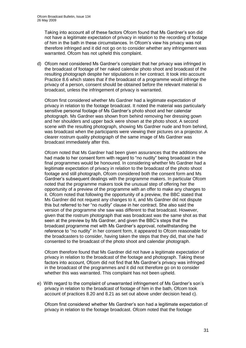Taking into account all of these factors Ofcom found that Ms Gardner"s son did not have a legitimate expectation of privacy in relation to the recording of footage of him in the bath in these circumstances. In Ofcom"s view his privacy was not therefore infringed and it did not go on to consider whether any infringement was warranted. Ofcom has not upheld this complaint.

d) Ofcom next considered Ms Gardner"s complaint that her privacy was infringed in the broadcast of footage of her naked calendar photo shoot and broadcast of the resulting photograph despite her stipulations in her contract. It took into account Practice 8.6 which states that if the broadcast of a programme would infringe the privacy of a person, consent should be obtained before the relevant material is broadcast, unless the infringement of privacy is warranted.

Ofcom first considered whether Ms Gardner had a legitimate expectation of privacy in relation to the footage broadcast. It noted the material was particularly sensitive personal footage of Ms Gardner"s photo shoot and her calendar photograph. Ms Gardner was shown from behind removing her dressing gown and her shoulders and upper back were shown at the photo shoot. A second scene with the resulting photograph, showing Ms Gardner nude and from behind, was broadcast when the participants were viewing their pictures on a projector. A clearer rostrum quality photograph of the same image of Ms Gardner was broadcast immediately after this.

Ofcom noted that Ms Gardner had been given assurances that the additions she had made to her consent form with regard to "no nudity" being broadcast in the final programmes would be honoured. In considering whether Ms Gardner had a legitimate expectation of privacy in relation to the broadcast of the photo shoot footage and still photograph, Ofcom considered both the consent form and Ms Gardner"s subsequent dealings with the programme makers. In particular Ofcom noted that the programme makers took the unusual step of offering her the opportunity of a preview of the programme with an offer to make any changes to it. Ofcom noted that following the opportunity of a preview, the BBC stated that Ms Gardner did not request any changes to it, and Ms Gardner did not dispute this but referred to her "no nudity" clause in her contract. She also said the version of the programme she saw was different to that broadcast. However, given that the rostrum photograph that was broadcast was the same shot as that seen at the preview by Ms Gardner, and given the BBC"s steps that the broadcast programme met with Ms Gardner"s approval, notwithstanding the reference to "no nudity" in her consent form, it appeared to Ofcom reasonable for the broadcasters to consider, having taken the steps that they did, that she had consented to the broadcast of the photo shoot and calendar photograph.

Ofcom therefore found that Ms Gardner did not have a legitimate expectation of privacy in relation to the broadcast of the footage and photograph. Taking these factors into account, Ofcom did not find that Ms Gardner"s privacy was infringed in the broadcast of the programmes and it did not therefore go on to consider whether this was warranted. This complaint has not been upheld.

e) With regard to the complaint of unwarranted infringement of Ms Gardner"s son"s privacy in relation to the broadcast of footage of him in the bath, Ofcom took account of practices 8.20 and 8.21 as set out above under decision head c).

Ofcom first considered whether Ms Gardner"s son had a legitimate expectation of privacy in relation to the footage broadcast. Ofcom noted that the footage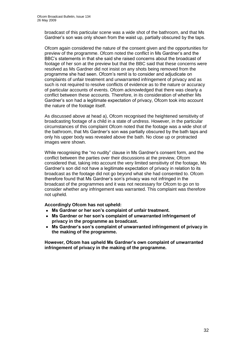broadcast of this particular scene was a wide shot of the bathroom, and that Ms Gardner"s son was only shown from the waist up, partially obscured by the taps.

Ofcom again considered the nature of the consent given and the opportunities for preview of the programme. Ofcom noted the conflict in Ms Gardner"s and the BBC"s statements in that she said she raised concerns about the broadcast of footage of her son at the preview but that the BBC said that these concerns were resolved as Ms Gardner did not insist on any shots being removed from the programme she had seen. Ofcom"s remit is to consider and adjudicate on complaints of unfair treatment and unwarranted infringement of privacy and as such is not required to resolve conflicts of evidence as to the nature or accuracy of particular accounts of events. Ofcom acknowledged that there was clearly a conflict between these accounts. Therefore, in its consideration of whether Ms Gardner"s son had a legitimate expectation of privacy, Ofcom took into account the nature of the footage itself.

As discussed above at head a), Ofcom recognised the heightened sensitivity of broadcasting footage of a child in a state of undress. However, in the particular circumstances of this complaint Ofcom noted that the footage was a wide shot of the bathroom, that Ms Gardner"s son was partially obscured by the bath taps and only his upper body was revealed above the bath. No close up or protracted images were shown.

While recognising the "no nudity" clause in Ms Gardner"s consent form, and the conflict between the parties over their discussions at the preview, Ofcom considered that, taking into account the very limited sensitivity of the footage, Ms Gardner"s son did not have a legitimate expectation of privacy in relation to its broadcast as the footage did not go beyond what she had consented to. Ofcom therefore found that Ms Gardner"s son"s privacy was not infringed in the broadcast of the programmes and it was not necessary for Ofcom to go on to consider whether any infringement was warranted. This complaint was therefore not upheld.

**Accordingly Ofcom has not upheld:**

- **Ms Gardner or her son's complaint of unfair treatment.**
- **Ms Gardner or her son's complaint of unwarranted infringement of privacy in the programme as broadcast.**
- **Ms Gardner's son's complaint of unwarranted infringement of privacy in the making of the programme.**

**However, Ofcom has upheld Ms Gardner's own complaint of unwarranted infringement of privacy in the making of the programme.**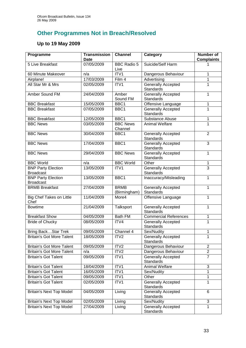# **Other Programmes Not in Breach/Resolved**

## **Up to 19 May 2009**

| Programme                                     | <b>Transmission</b><br><b>Date</b> | <b>Channel</b>              | Category                                      | <b>Number of</b><br><b>Complaints</b> |
|-----------------------------------------------|------------------------------------|-----------------------------|-----------------------------------------------|---------------------------------------|
| 5 Live Breakfast                              | 07/05/2009                         | <b>BBC Radio 5</b><br>Live  | Suicide/Self Harm                             |                                       |
| 60 Minute Makeover                            | n/a                                | ITV1                        | Dangerous Behaviour                           | 1                                     |
| Airplane!                                     | 17/03/2009                         | Film 4                      | Advertising                                   | 1                                     |
| All Star Mr & Mrs                             | 02/05/2009                         | ITV1                        | <b>Generally Accepted</b><br><b>Standards</b> | 1                                     |
| Amber Sound FM                                | 24/04/2009                         | Amber<br>Sound FM           | <b>Generally Accepted</b><br><b>Standards</b> | 1                                     |
| <b>BBC Breakfast</b>                          | 15/05/2009                         | BBC1                        | Offensive Language                            | 1                                     |
| <b>BBC Breakfast</b>                          | 07/05/2009                         | BBC1                        | <b>Generally Accepted</b><br><b>Standards</b> | 1                                     |
| <b>BBC Breakfast</b>                          | 12/05/2009                         | BBC1                        | Substance Abuse                               | 1                                     |
| <b>BBC News</b>                               | 03/05/2009                         | <b>BBC News</b><br>Channel  | Animal Welfare                                | 1                                     |
| <b>BBC News</b>                               | 30/04/2009                         | BBC1                        | <b>Generally Accepted</b><br>Standards        | $\overline{2}$                        |
| <b>BBC News</b>                               | 17/04/2009                         | BBC1                        | <b>Generally Accepted</b><br>Standards        | 3                                     |
| <b>BBC News</b>                               | 29/04/2009                         | <b>BBC News</b>             | <b>Generally Accepted</b><br>Standards        | 1                                     |
| <b>BBC World</b>                              | n/a                                | <b>BBC World</b>            | Other                                         | $\mathbf{1}$                          |
| <b>BNP Party Election</b><br><b>Broadcast</b> | 13/05/2009                         | ITV1                        | <b>Generally Accepted</b><br><b>Standards</b> | 3                                     |
| <b>BNP Party Election</b><br><b>Broadcast</b> | 13/05/2009                         | BBC1                        | Inaccuracy/Misleading                         | $\mathbf{1}$                          |
| <b>BRMB Breakfast</b>                         | 27/04/2009                         | <b>BRMB</b><br>(Birmingham) | <b>Generally Accepted</b><br>Standards        | 1                                     |
| <b>Big Chef Takes on Little</b><br>Chef       | 11/04/2009                         | More4                       | Offensive Language                            | $\mathbf{1}$                          |
| <b>Bowtime</b>                                | 21/04/2009                         | Talksport                   | Generally Accepted<br>Standards               | $\mathbf{1}$                          |
| <b>Breakfast Show</b>                         | 04/05/2009                         | <b>Bath FM</b>              | <b>Commercial References</b>                  | 1                                     |
| <b>Bride of Chucky</b>                        | 08/05/2009                         | ITV4                        | Generally Accepted<br>Standards               | 1                                     |
| Bring BackStar Trek                           | 09/05/2009                         | Channel 4                   | Sex/Nudity                                    | 1                                     |
| <b>Britain's Got More Talent</b>              | 18/05/2009                         | ITV2                        | <b>Generally Accepted</b><br>Standards        | 1                                     |
| <b>Britain's Got More Talent</b>              | 09/05/2009                         | ITV <sub>2</sub>            | Dangerous Behaviour                           | $\overline{2}$                        |
| <b>Britain's Got More Talent</b>              | n/a                                | ITV <sub>2</sub>            | Dangerous Behaviour                           | $\overline{2}$                        |
| <b>Britain's Got Talent</b>                   | 09/05/2009                         | ITV1                        | <b>Generally Accepted</b><br><b>Standards</b> | $\overline{7}$                        |
| <b>Britain's Got Talent</b>                   | 18/04/2009                         | ITV1                        | Animal Welfare                                | 3                                     |
| <b>Britain's Got Talent</b>                   | 16/05/2009                         | ITV1                        | Sex/Nudity                                    | 1                                     |
| <b>Britain's Got Talent</b>                   | 09/05/2009                         | ITV1                        | Other                                         | 1                                     |
| <b>Britain's Got Talent</b>                   | 02/05/2009                         | ITV1                        | <b>Generally Accepted</b><br>Standards        | 1                                     |
| <b>Britain's Next Top Model</b>               | 04/05/2009                         | Living                      | <b>Generally Accepted</b><br><b>Standards</b> | 6                                     |
| <b>Britain's Next Top Model</b>               | 02/05/2009                         | Living                      | Sex/Nudity                                    | 3                                     |
| <b>Britain's Next Top Model</b>               | 27/04/2009                         | Living                      | <b>Generally Accepted</b><br>Standards        | 1                                     |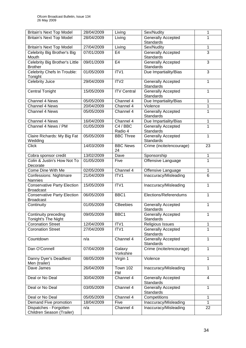| <b>Britain's Next Top Model</b>    | 28/04/2009 | Living              | Sex/Nudity                             | 1              |
|------------------------------------|------------|---------------------|----------------------------------------|----------------|
| <b>Britain's Next Top Model</b>    | 28/04/2009 | Living              | <b>Generally Accepted</b>              | 1              |
|                                    |            |                     | <b>Standards</b>                       |                |
| <b>Britain's Next Top Model</b>    | 27/04/2009 | Living              | Sex/Nudity                             | 1              |
| Celebrity Big Brother's Big        | 07/01/2009 | E4                  | <b>Generally Accepted</b>              | $\overline{3}$ |
| Mouth                              |            |                     | <b>Standards</b>                       |                |
| Celebrity Big Brother's Little     | 09/01/2009 | E <sub>4</sub>      | Generally Accepted                     | 3              |
| <b>Brother</b>                     |            |                     | <b>Standards</b>                       |                |
| Celebrity Chefs In Trouble:        | 01/05/2009 | ITV1                | Due Impartiality/Bias                  | 3              |
| Tonight                            |            |                     |                                        |                |
| Celebrity Juice                    | 29/04/2009 | ITV <sub>2</sub>    | <b>Generally Accepted</b><br>Standards | $\mathbf{1}$   |
| <b>Central Tonight</b>             | 15/05/2009 | <b>ITV Central</b>  | <b>Generally Accepted</b><br>Standards | 1              |
| Channel 4 News                     | 05/05/2009 | Channel 4           | Due Impartiality/Bias                  | 1              |
| Channel 4 News                     | 20/04/2009 | Channel 4           | Violence                               | 1              |
| Channel 4 News                     | 05/05/2009 | Channel 4           | <b>Generally Accepted</b>              | 1              |
|                                    |            |                     | Standards                              |                |
| Channel 4 News                     | 16/04/2009 | Channel 4           | Due Impartiality/Bias                  | 1              |
| Channel 4 News / PM                | 01/05/2009 | C4/BBC              | <b>Generally Accepted</b>              | $\overline{1}$ |
|                                    |            | Radio 4             | Standards                              |                |
| Claire Richards: My Big Fat        | 05/05/2009 | <b>BBC Three</b>    | <b>Generally Accepted</b>              | 1              |
| Wedding                            |            |                     | <b>Standards</b>                       |                |
| <b>Click</b>                       | 14/03/2009 | <b>BBC News</b>     | Crime (incite/encourage)               | 23             |
|                                    |            | 24                  |                                        |                |
| Cobra sponsor credit               | 13/02/2009 | Dave                | Sponsorship                            | 1              |
| Colin & Justin's How Not To        | 01/05/2009 | Five                | Offensive Language                     | 1              |
| Decorate                           |            |                     |                                        |                |
| Come Dine With Me                  | 02/05/2009 | Channel 4           | Offensive Language                     | 1              |
| <b>Confessions: Nightmare</b>      | 21/04/2009 | ITV1                | Inaccuracy/Misleading                  | 6              |
| Nannies                            |            |                     |                                        |                |
| <b>Conservative Party Election</b> | 15/05/2009 | ITV <sub>1</sub>    | Inaccuracy/Misleading                  | 1              |
| <b>Broadcast</b>                   |            |                     |                                        |                |
| <b>Conservative Party Election</b> | 06/05/2009 | BBC <sub>1</sub>    | Elections/Referendums                  | 1              |
| <b>Broadcast</b>                   |            |                     |                                        |                |
| Continuity                         | 01/05/2009 | <b>CBeebies</b>     | Generally Accepted<br><b>Standards</b> | 1              |
| Continuity preceding               | 09/05/2009 | BBC1                | Generally Accepted                     | 1              |
| Tonight's The Night                |            |                     | Standards                              |                |
| <b>Coronation Street</b>           | 12/04/2009 | ITV1                | <b>Religious Issues</b>                | 1              |
| <b>Coronation Street</b>           | 27/04/2009 | ITV <sub>1</sub>    | <b>Generally Accepted</b>              | 1              |
|                                    |            |                     | <b>Standards</b>                       |                |
| Countdown                          | n/a        | Channel 4           | <b>Generally Accepted</b>              | 1              |
|                                    |            |                     | <b>Standards</b>                       |                |
| Dan O'Connell                      | 07/04/2009 | Galaxy<br>Yorkshire | Crime (incite/encourage)               | 1              |
| Danny Dyer's Deadliest             | 08/05/2009 | Virgin 1            | Violence                               | 1              |
| Men (trailer)                      |            |                     |                                        |                |
| Dave James                         | 26/04/2009 | <b>Town 102</b>     | Inaccuracy/Misleading                  | 1              |
|                                    |            | <b>FM</b>           |                                        |                |
| Deal or No Deal                    | 30/04/2009 | Channel 4           | <b>Generally Accepted</b>              | 4              |
|                                    |            |                     | Standards                              |                |
| Deal or No Deal                    | 03/05/2009 | Channel 4           | Generally Accepted                     | 1              |
|                                    |            |                     | Standards                              |                |
| Deal or No Deal                    | 05/05/2009 | Channel 4           | Competitions                           | 1              |
| Demand Five promotion              | 18/04/2009 | Five                | Inaccuracy/Misleading                  | $\mathbf{1}$   |
| Dispatches - Forgotten             | n/a        | Channel 4           | Inaccuracy/Misleading                  | 22             |
| Children Season (Trailer)          |            |                     |                                        |                |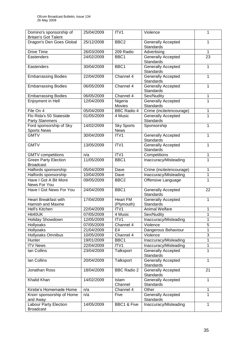| Domino's sponsorship of      | 25/04/2009 | ITV1               | Violence                               | 1           |
|------------------------------|------------|--------------------|----------------------------------------|-------------|
| <b>Britain's Got Talent</b>  |            |                    |                                        |             |
| Dragon's Den Goes Global     | 25/12/2008 | BBC <sub>2</sub>   | <b>Generally Accepted</b>              | 1           |
|                              |            |                    | Standards                              |             |
| Drive Time                   | 26/03/2009 | 209 Radio          | Advertising                            | 1           |
| Eastenders                   | 24/02/2009 | BBC1               | <b>Generally Accepted</b>              | 23          |
|                              |            |                    | <b>Standards</b>                       |             |
| Eastenders                   | 30/04/2009 | BBC1               | <b>Generally Accepted</b>              | 1           |
|                              |            |                    | Standards                              |             |
| <b>Embarrassing Bodies</b>   | 22/04/2009 | Channel 4          | <b>Generally Accepted</b>              | 1           |
|                              |            |                    | Standards                              |             |
| <b>Embarrassing Bodies</b>   | 06/05/2009 | Channel 4          | <b>Generally Accepted</b>              | 1           |
|                              |            |                    | Standards                              |             |
| <b>Embarrassing Bodies</b>   | 06/05/2009 | Channel 4          | Sex/Nudity                             | 1           |
| Enjoyment in Hell            | 12/04/2009 | Nigeria            | <b>Generally Accepted</b>              | 1           |
|                              |            | Movies             | Standards                              |             |
| File On 4                    | 05/04/2009 | <b>BBC Radio 4</b> | Crime (incite/encourage)               | 1           |
|                              |            |                    |                                        | 1           |
| Flo Rida's 50 Stateside      | 01/05/2009 | 4 Music            | <b>Generally Accepted</b>              |             |
| <b>Party Slammers</b>        |            |                    | Standards                              |             |
| Ford sponsorship of Sky      | 14/02/2009 | <b>Sky Sports</b>  | Sponsorship                            | 1           |
| <b>Sports News</b>           |            | <b>News</b>        |                                        |             |
| <b>GMTV</b>                  | 30/04/2009 | ITV1               | <b>Generally Accepted</b><br>Standards | 1           |
| <b>GMTV</b>                  |            | ITV1               |                                        | 1           |
|                              | 13/05/2009 |                    | <b>Generally Accepted</b>              |             |
|                              |            | ITV1               | <b>Standards</b>                       |             |
| <b>GMTV</b> competitions     | n/a        |                    | Competitions                           | 1           |
| <b>Green Party Election</b>  | 11/05/2009 | BBC1               | Inaccuracy/Misleading                  | 1           |
| <b>Broadcast</b>             |            |                    |                                        |             |
| Halfords sponsorship         | 05/04/2009 | Dave               | Crime (incite/encourage)               | 1           |
| Halfords sponsorship         | 10/04/2009 | Dave               | Inaccuracy/Misleading                  | 1           |
| Have I Got A Bit More        | 09/05/2009 | BBC <sub>2</sub>   | Offensive Language                     | 1           |
| News For You                 |            |                    |                                        |             |
| Have I Got News For You      | 24/04/2009 | BBC1               | <b>Generally Accepted</b>              | 22          |
|                              |            |                    | Standards                              |             |
| <b>Heart Breakfast with</b>  | 17/04/2009 | <b>Heart FM</b>    | <b>Generally Accepted</b>              | 1           |
| Hamish and Maxine            |            | (Plymouth)         | Standards                              |             |
| Hell's Kitchen               | 22/04/2009 | ITV1               | Animal Welfare                         | 1           |
| Hit40UK                      | 07/05/2009 | 4 Music            | Sex/Nudity                             | 1           |
| Holiday Showdown             | 12/05/2009 | ITV1               | Inaccuracy/Misleading                  | 1           |
| Hollyoaks                    | 07/05/2009 | Channel 4          | Violence                               | 5           |
| Hollyoaks                    | 21/04/2009 | E <sub>4</sub>     | Dangerous Behaviour                    | 1           |
| <b>Hollyoaks Omnibus</b>     | 10/05/2009 | Channel 4          | Violence                               | 3           |
| Hunter                       | 19/01/2009 | BBC1               | Inaccuracy/Misleading                  | 1           |
| <b>ITV News</b>              | 22/04/2009 | ITV1               | Inaccuracy/Misleading                  | 1           |
| Ian Collins                  | 23/04/2009 | Talksport          | <b>Generally Accepted</b>              | $\mathbf 1$ |
|                              |            |                    | Standards                              |             |
| Ian Collins                  | 20/04/2009 | Talksport          | Generally Accepted                     | 1           |
|                              |            |                    | Standards                              |             |
| Jonathan Ross                | 18/04/2009 | <b>BBC Radio 2</b> | <b>Generally Accepted</b>              | 21          |
|                              |            |                    | Standards                              |             |
| Khalid Khan                  | 14/02/2009 | Islam              | Generally Accepted                     | 1           |
|                              |            | Channel            | Standards                              |             |
| Kirstie's Homemade Home      | n/a        | Channel 4          | Other                                  | 1           |
| Knorr sponsorship of Home    | n/a        | Five               | <b>Generally Accepted</b>              | $\mathbf 1$ |
| and Away                     |            |                    | Standards                              |             |
| <b>Labour Party Election</b> | 14/05/2009 | BBC1 & Five        | Inaccuracy/Misleading                  | 1           |
| <b>Broadcast</b>             |            |                    |                                        |             |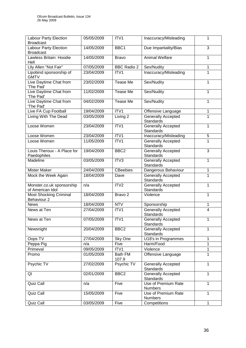| <b>Labour Party Election</b><br><b>Broadcast</b> | 05/05/2009 | ITV1               | Inaccuracy/Misleading                         | 1              |
|--------------------------------------------------|------------|--------------------|-----------------------------------------------|----------------|
| <b>Labour Party Election</b><br><b>Broadcast</b> | 14/05/2009 | BBC1               | Due Impartiality/Bias                         | 3              |
| Lawless Britain: Hoodie<br>Hell                  | 14/05/2009 | <b>Bravo</b>       | <b>Animal Welfare</b>                         | 1              |
| Lily Allen "Not Fair"                            | 07/05/2009 | <b>BBC Radio 2</b> | Sex/Nudity                                    | $\mathbf{1}$   |
| Lipobind sponsorship of<br><b>GMTV</b>           | 23/04/2009 | ITV1               | Inaccuracy/Misleading                         | $\mathbf{1}$   |
| Live Daytime Chat from<br>'The Pad'              | 23/02/2009 | Tease Me           | Sex/Nudity                                    | 1              |
| Live Daytime Chat from<br>'The Pad'              | 11/02/2009 | Tease Me           | Sex/Nudity                                    | 1              |
| Live Daytime Chat from<br>'The Pad'              | 04/02/2009 | Tease Me           | Sex/Nudity                                    | 1              |
| Live FA Cup Football                             | 19/04/2009 | ITV1               | Offensive Language                            | 1              |
| Living With The Dead                             | 03/05/2009 | Living 2           | <b>Generally Accepted</b><br><b>Standards</b> | 1              |
| Loose Women                                      | 23/04/2009 | ITV1               | <b>Generally Accepted</b><br>Standards        | 1              |
| Loose Women                                      | 23/04/2009 | ITV1               | Inaccuracy/Misleading                         | $\overline{5}$ |
| Loose Women                                      | 11/05/2009 | ITV1               | <b>Generally Accepted</b><br>Standards        | 1              |
| Louis Theroux - A Place for<br>Paedophiles       | 19/04/2009 | BBC <sub>2</sub>   | <b>Generally Accepted</b><br>Standards        | 3              |
| Madeline                                         | 03/05/2009 | ITV3               | <b>Generally Accepted</b><br>Standards        | 1              |
| <b>Mister Maker</b>                              | 24/04/2009 | <b>CBeebies</b>    | Dangerous Behaviour                           | 1              |
| Mock the Week Again                              | 18/04/2009 | Dave               | Generally Accepted<br>Standards               | 1              |
| Monster.co.uk sponsorship<br>of American Idol    | n/a        | ITV <sub>2</sub>   | Generally Accepted<br>Standards               | 1              |
| Most Shocking Criminal<br>Behaviour 2            | 18/04/2009 | Bravo <sub>2</sub> | Violence                                      | $\mathbf{1}$   |
| <b>News</b>                                      | 18/04/2009 | <b>NTV</b>         | Sponsorship                                   | 1              |
| News at Ten                                      | 27/04/2009 | ITV1               | Generally Accepted<br>Standards               | 4              |
| News at Ten                                      | 07/05/2009 | ITV1               | <b>Generally Accepted</b><br>Standards        | 1              |
| Newsnight                                        | 20/04/2009 | BBC <sub>2</sub>   | <b>Generally Accepted</b><br><b>Standards</b> | $\mathbf{1}$   |
| Oops TV                                          | 27/04/2009 | Sky One            | U18's in Programmes                           | 1              |
| Peppa Pig                                        | n/a        | Five               | Harm/Food                                     | 1              |
| Primeval                                         | 09/05/2009 | ITV1               | Violence                                      | 1              |
| Promo                                            | 01/05/2009 | Bath FM<br>107.9   | Offensive Language                            | 1              |
| Psychic TV                                       | 27/02/2009 | Psychic TV         | <b>Generally Accepted</b><br>Standards        | $\mathbf{1}$   |
| QI                                               | 02/01/2009 | BBC <sub>2</sub>   | <b>Generally Accepted</b><br>Standards        | $\mathbf{1}$   |
| Quiz Call                                        | n/a        | Five               | Use of Premium Rate<br><b>Numbers</b>         | 1              |
| Quiz Call                                        | 15/05/2009 | Five               | Use of Premium Rate<br><b>Numbers</b>         | $\mathbf{1}$   |
| Quiz Call                                        | 03/05/2009 | Five               | Competitions                                  | $\mathbf{1}$   |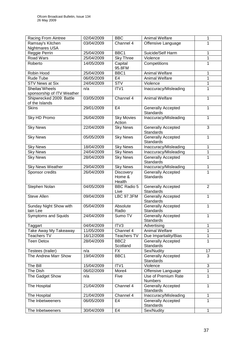| Racing From Aintree                           | 02/04/2009 | <b>BBC</b>                           | <b>Animal Welfare</b>                         | 1              |
|-----------------------------------------------|------------|--------------------------------------|-----------------------------------------------|----------------|
| Ramsay's Kitchen                              | 03/04/2009 | Channel 4                            | Offensive Language                            | 1              |
| Nightmares USA                                |            |                                      |                                               |                |
| Reggie Perrin                                 | 25/04/2009 | BBC1                                 | Suicide/Self Harm                             | 1              |
| Road Wars                                     | 25/04/2009 | <b>Sky Three</b>                     | Violence                                      | 1              |
| Roberto                                       | 14/05/2009 | Capital<br>95.8FM                    | Competitions                                  | 1              |
| Robin Hood                                    | 25/04/2009 | BBC1                                 | Animal Welfare                                | 1              |
| Rude Tube                                     | 06/05/2009 | E <sub>4</sub>                       | <b>Animal Welfare</b>                         | 1              |
| <b>STV News at Six</b>                        | 24/04/2009 | <b>STV</b>                           | Violence                                      | 1              |
| Sheilas' Wheels<br>sponsorship of ITV Weather | n/a        | ITV1                                 | Inaccuracy/Misleading                         | 1              |
| Shipwrecked 2009: Battle<br>of the Islands    | 03/05/2009 | Channel 4                            | <b>Animal Welfare</b>                         | 1              |
| <b>Skins</b>                                  | 29/01/2009 | E <sub>4</sub>                       | <b>Generally Accepted</b><br>Standards        | 1              |
| Sky HD Promo                                  | 26/04/2009 | <b>Sky Movies</b><br>Action          | Inaccuracy/Misleading                         | 1              |
| <b>Sky News</b>                               | 22/04/2009 | <b>Sky News</b>                      | <b>Generally Accepted</b><br>Standards        | 3              |
| <b>Sky News</b>                               | 05/05/2009 | <b>Sky News</b>                      | Generally Accepted<br>Standards               | 1              |
| <b>Sky News</b>                               | 18/04/2009 | <b>Sky News</b>                      | Inaccuracy/Misleading                         | 1              |
| <b>Sky News</b>                               | 24/04/2009 | <b>Sky News</b>                      | Inaccuracy/Misleading                         | 1              |
| <b>Sky News</b>                               | 28/04/2009 | <b>Sky News</b>                      | <b>Generally Accepted</b><br>Standards        | 1              |
| <b>Sky News Weather</b>                       | 29/04/2009 | <b>Sky News</b>                      | Inaccuracy/Misleading                         | 1              |
| Sponsor credits                               | 26/04/2009 | <b>Discovery</b><br>Home &<br>Health | <b>Generally Accepted</b><br><b>Standards</b> | 1              |
| Stephen Nolan                                 | 04/05/2009 | <b>BBC Radio 5</b><br>Live           | <b>Generally Accepted</b><br><b>Standards</b> | $\overline{2}$ |
| <b>Steve Allen</b>                            | 09/04/2009 | <b>LBC 97.3FM</b>                    | <b>Generally Accepted</b><br>Standards        | 1              |
| Sunday Night Show with<br>lain Lee            | 05/04/2009 | Absolute<br>Radio                    | <b>Generally Accepted</b><br><b>Standards</b> | 1              |
| Symptoms and Squids                           | 24/04/2009 | Sumo TV                              | <b>Generally Accepted</b><br>Standards        | 1              |
| Taggart                                       | 04/04/2009 | ITV3                                 | Advertising                                   | 1              |
| Take Away My Takeaway                         | 11/05/2009 | Channel 4                            | <b>Animal Welfare</b>                         | 1              |
| <b>Teachers TV</b>                            | 16/12/2008 | <b>Teachers TV</b>                   | Due Impartiality/Bias                         | 1              |
| <b>Teen Detox</b>                             | 28/04/2009 | BBC <sub>2</sub><br>Scotland         | <b>Generally Accepted</b><br>Standards        | 1              |
| Testees (trailer)                             | n/a        | <b>FX</b>                            | Sex/Nudity                                    | 17             |
| The Andrew Marr Show                          | 19/04/2009 | BBC1                                 | <b>Generally Accepted</b><br><b>Standards</b> | $\overline{3}$ |
| The Bill                                      | 15/04/2009 | ITV1                                 | Violence                                      | 3              |
| The Dish                                      | 06/02/2009 | More4                                | Offensive Language                            | 1              |
| The Gadget Show                               | n/a        | Five                                 | Use of Premium Rate<br><b>Numbers</b>         | $\mathbf{1}$   |
| The Hospital                                  | 21/04/2009 | Channel 4                            | <b>Generally Accepted</b><br>Standards        | 1              |
| The Hospital                                  | 21/04/2009 | Channel 4                            | Inaccuracy/Misleading                         | 1              |
| The Inbetweeners                              | 06/05/2009 | E4                                   | <b>Generally Accepted</b><br>Standards        | 1              |
| The Inbetweeners                              | 30/04/2009 | E <sub>4</sub>                       | Sex/Nudity                                    | 1              |